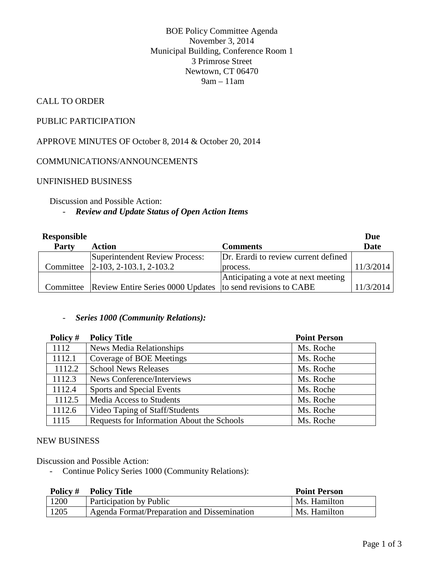BOE Policy Committee Agenda November 3, 2014 Municipal Building, Conference Room 1 3 Primrose Street Newtown, CT 06470 9am – 11am

## CALL TO ORDER

### PUBLIC PARTICIPATION

APPROVE MINUTES OF October 8, 2014 & October 20, 2014

#### COMMUNICATIONS/ANNOUNCEMENTS

#### UNFINISHED BUSINESS

Discussion and Possible Action:

#### - *Review and Update Status of Open Action Items*

| Responsible |                                                                       |                                      | Due         |
|-------------|-----------------------------------------------------------------------|--------------------------------------|-------------|
| Party       | <b>Action</b>                                                         | <b>Comments</b>                      | <b>Date</b> |
|             | Superintendent Review Process:                                        | Dr. Erardi to review current defined |             |
|             | Committee 2-103, 2-103.1, 2-103.2                                     | process.                             | 11/3/2014   |
|             |                                                                       | Anticipating a vote at next meeting  |             |
|             | Committee Review Entire Series 0000 Updates to send revisions to CABE |                                      | 11/3/2014   |

#### - *Series 1000 (Community Relations):*

| Policy # | <b>Policy Title</b>                        | <b>Point Person</b> |
|----------|--------------------------------------------|---------------------|
| 1112     | <b>News Media Relationships</b>            | Ms. Roche           |
| 1112.1   | Coverage of BOE Meetings                   | Ms. Roche           |
| 1112.2   | <b>School News Releases</b>                | Ms. Roche           |
| 1112.3   | News Conference/Interviews                 | Ms. Roche           |
| 1112.4   | Sports and Special Events                  | Ms. Roche           |
| 1112.5   | Media Access to Students                   | Ms. Roche           |
| 1112.6   | Video Taping of Staff/Students             | Ms. Roche           |
| 1115     | Requests for Information About the Schools | Ms. Roche           |

#### NEW BUSINESS

Discussion and Possible Action:

- Continue Policy Series 1000 (Community Relations):

| Policy # | <b>Policy Title</b>                         | <b>Point Person</b> |
|----------|---------------------------------------------|---------------------|
| 1200     | Participation by Public                     | Ms. Hamilton        |
| 1205     | Agenda Format/Preparation and Dissemination | Ms. Hamilton        |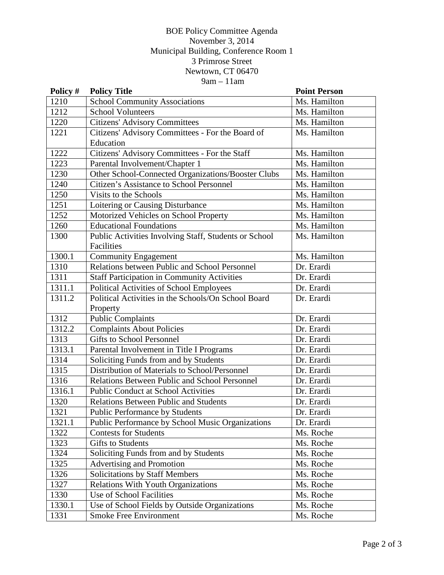## BOE Policy Committee Agenda November 3, 2014 Municipal Building, Conference Room 1 3 Primrose Street Newtown, CT 06470  $9am - 11am$

| Policy # | <b>Policy Title</b>                                   | <b>Point Person</b> |
|----------|-------------------------------------------------------|---------------------|
| 1210     | <b>School Community Associations</b>                  | Ms. Hamilton        |
| 1212     | <b>School Volunteers</b>                              | Ms. Hamilton        |
| 1220     | <b>Citizens' Advisory Committees</b>                  | Ms. Hamilton        |
| 1221     | Citizens' Advisory Committees - For the Board of      | Ms. Hamilton        |
|          | Education                                             |                     |
| 1222     | Citizens' Advisory Committees - For the Staff         | Ms. Hamilton        |
| 1223     | Parental Involvement/Chapter 1                        | Ms. Hamilton        |
| 1230     | Other School-Connected Organizations/Booster Clubs    | Ms. Hamilton        |
| 1240     | Citizen's Assistance to School Personnel              | Ms. Hamilton        |
| 1250     | Visits to the Schools                                 | Ms. Hamilton        |
| 1251     | Loitering or Causing Disturbance                      | Ms. Hamilton        |
| 1252     | Motorized Vehicles on School Property                 | Ms. Hamilton        |
| 1260     | <b>Educational Foundations</b>                        | Ms. Hamilton        |
| 1300     | Public Activities Involving Staff, Students or School | Ms. Hamilton        |
|          | Facilities                                            |                     |
| 1300.1   | <b>Community Engagement</b>                           | Ms. Hamilton        |
| 1310     | Relations between Public and School Personnel         | Dr. Erardi          |
| 1311     | <b>Staff Participation in Community Activities</b>    | Dr. Erardi          |
| 1311.1   | Political Activities of School Employees              | Dr. Erardi          |
| 1311.2   | Political Activities in the Schools/On School Board   | Dr. Erardi          |
|          | Property                                              |                     |
| 1312     | <b>Public Complaints</b>                              | Dr. Erardi          |
| 1312.2   | <b>Complaints About Policies</b>                      | Dr. Erardi          |
| 1313     | <b>Gifts to School Personnel</b>                      | Dr. Erardi          |
| 1313.1   | Parental Involvement in Title I Programs              | Dr. Erardi          |
| 1314     | Soliciting Funds from and by Students                 | Dr. Erardi          |
| 1315     | Distribution of Materials to School/Personnel         | Dr. Erardi          |
| 1316     | Relations Between Public and School Personnel         | Dr. Erardi          |
| 1316.1   | <b>Public Conduct at School Activities</b>            | Dr. Erardi          |
| 1320     | <b>Relations Between Public and Students</b>          | Dr. Erardi          |
| 1321     | <b>Public Performance by Students</b>                 | Dr. Erardi          |
| 1321.1   | Public Performance by School Music Organizations      | Dr. Erardi          |
| 1322     | <b>Contests for Students</b>                          | Ms. Roche           |
| 1323     | <b>Gifts to Students</b>                              | Ms. Roche           |
| 1324     | Soliciting Funds from and by Students                 | Ms. Roche           |
| 1325     | Advertising and Promotion                             | Ms. Roche           |
| 1326     | <b>Solicitations by Staff Members</b>                 | Ms. Roche           |
| 1327     | Relations With Youth Organizations                    | Ms. Roche           |
| 1330     | Use of School Facilities                              | Ms. Roche           |
| 1330.1   | Use of School Fields by Outside Organizations         | Ms. Roche           |
| 1331     | Smoke Free Environment                                | Ms. Roche           |